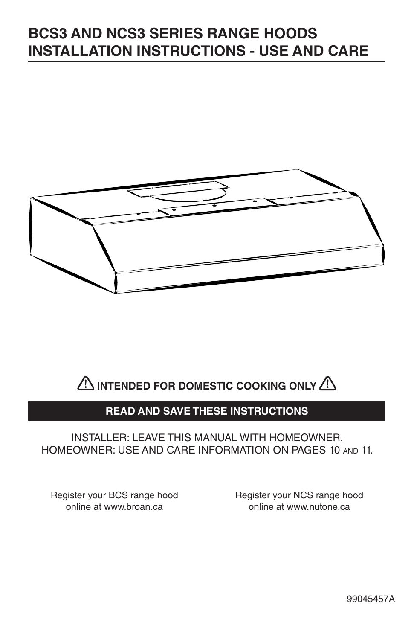# **BCS3 AND NCS3 SERIES RANGE HOODS INSTALLATION INSTRUCTIONS - USE AND CARE**





## **READ AND SAVE THESE INSTRUCTIONS**

## INSTALLER: LEAVE THIS MANUAL WITH HOMEOWNER. HOMEOWNER: USE AND CARE INFORMATION ON PAGES 10 AND 11.

Register your BCS range hood online at www.broan.ca

Register your NCS range hood online at www.nutone.ca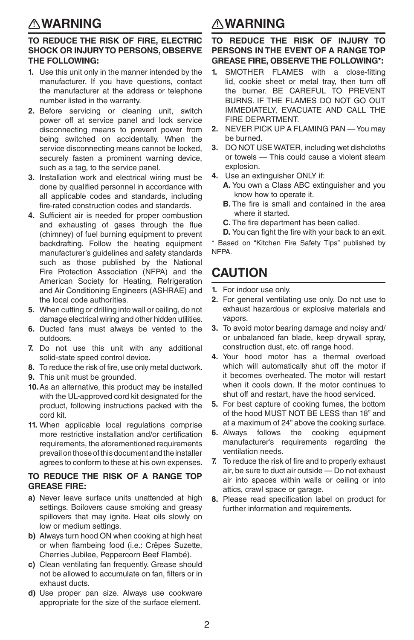## **WARNING**

#### **TO REDUCE THE RISK OF FIRE, ELECTRIC SHOCK OR INJURY TO PERSONS, OBSERVE THE FOLLOWING:**

- **1.** Use this unit only in the manner intended by the manufacturer. If you have questions, contact the manufacturer at the address or telephone number listed in the warranty.
- **2.** Before servicing or cleaning unit, switch power off at service panel and lock service disconnecting means to prevent power from being switched on accidentally. When the service disconnecting means cannot be locked, securely fasten a prominent warning device, such as a tag, to the service panel.
- **3.** Installation work and electrical wiring must be done by qualified personnel in accordance with all applicable codes and standards, including fire-rated construction codes and standards.
- **4.** Sufficient air is needed for proper combustion and exhausting of gases through the flue (chimney) of fuel burning equipment to prevent backdrafting. Follow the heating equipment manufacturer's guidelines and safety standards such as those published by the National Fire Protection Association (NFPA) and the American Society for Heating, Refrigeration and Air Conditioning Engineers (ASHRAE) and the local code authorities.
- **5.** When cutting or drilling into wall or ceiling, do not damage electrical wiring and other hidden utilities.
- **6.** Ducted fans must always be vented to the outdoors.
- **7.** Do not use this unit with any additional solid-state speed control device.
- **8.** To reduce the risk of fire, use only metal ductwork.
- **9.** This unit must be grounded.
- **10.** As an alternative, this product may be installed with the UL-approved cord kit designated for the product, following instructions packed with the cord kit.
- **11.** When applicable local regulations comprise more restrictive installation and/or certification requirements, the aforementioned requirements prevail on those of this document and the installer agrees to conform to these at his own expenses.

#### **TO REDUCE THE RISK OF A RANGE TOP GREASE FIRE:**

- **a)** Never leave surface units unattended at high settings. Boilovers cause smoking and greasy spillovers that may ignite. Heat oils slowly on low or medium settings.
- **b)** Always turn hood ON when cooking at high heat or when flambeing food (i.e.: Crêpes Suzette, Cherries Jubilee, Peppercorn Beef Flambé).
- **c)** Clean ventilating fan frequently. Grease should not be allowed to accumulate on fan, filters or in exhaust ducts.
- **d)** Use proper pan size. Always use cookware appropriate for the size of the surface element.

## **! WARNING !**

#### **TO REDUCE THE RISK OF INJURY TO PERSONS IN THE EVENT OF A RANGE TOP GREASE FIRE, OBSERVE THE FOLLOWING\*:**

- **1.** SMOTHER FLAMES with a close-fitting lid, cookie sheet or metal tray, then turn off the burner. BE CAREFUL TO PREVENT BURNS. IF THE FLAMES DO NOT GO OUT IMMEDIATELY, EVACUATE AND CALL THE FIRE DEPARTMENT.
- **2.** NEVER PICK UP A FLAMING PAN You may be burned.
- **3.** DO NOT USE WATER, including wet dishcloths or towels — This could cause a violent steam explosion.
- **4.** Use an extinguisher ONLY if:
	- **A.** You own a Class ABC extinguisher and you know how to operate it.
	- **B.** The fire is small and contained in the area where it started.
	- **C.** The fire department has been called.
	- **D.** You can fight the fire with your back to an exit.

\* Based on "Kitchen Fire Safety Tips" published by NFPA.

## **CAUTION**

- **1.** For indoor use only.
- **2.** For general ventilating use only. Do not use to exhaust hazardous or explosive materials and vapors.
- **3.** To avoid motor bearing damage and noisy and/ or unbalanced fan blade, keep drywall spray, construction dust, etc. off range hood.
- **4.** Your hood motor has a thermal overload which will automatically shut off the motor if it becomes overheated. The motor will restart when it cools down. If the motor continues to shut off and restart, have the hood serviced.
- **5.** For best capture of cooking fumes, the bottom of the hood MUST NOT BE LESS than 18" and at a maximum of 24" above the cooking surface.
- **6.** Always follows the cooking equipment manufacturer's requirements regarding the ventilation needs.
- **7.** To reduce the risk of fire and to properly exhaust air, be sure to duct air outside — Do not exhaust air into spaces within walls or ceiling or into attics, crawl space or garage.
- **8.** Please read specification label on product for further information and requirements.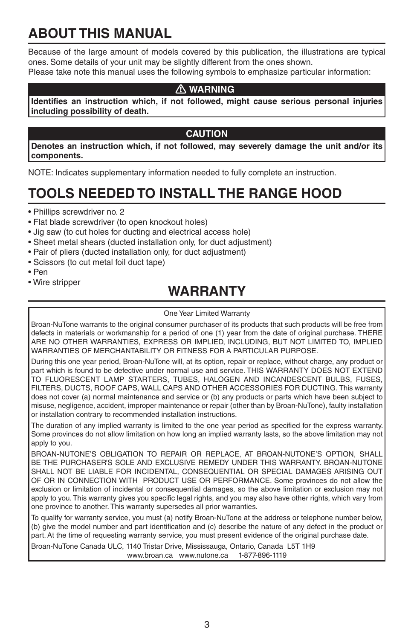# **ABOUT THIS MANUAL**

Because of the large amount of models covered by this publication, the illustrations are typical ones. Some details of your unit may be slightly different from the ones shown.

Please take note this manual uses the following symbols to emphasize particular information:

## **WARNING !**

**Identifies an instruction which, if not followed, might cause serious personal injuries including possibility of death.**

## **CAUTION**

**Denotes an instruction which, if not followed, may severely damage the unit and/or its components.**

NOTE: Indicates supplementary information needed to fully complete an instruction.

# **TOOLS NEEDED TO INSTALL THE RANGE HOOD**

- Phillips screwdriver no. 2
- Flat blade screwdriver (to open knockout holes)
- Jig saw (to cut holes for ducting and electrical access hole)
- Sheet metal shears (ducted installation only, for duct adjustment)
- Pair of pliers (ducted installation only, for duct adjustment)
- Scissors (to cut metal foil duct tape)
- Pen
- Wire stripper

## **WARRANTY**

#### One Year Limited Warranty

Broan-NuTone warrants to the original consumer purchaser of its products that such products will be free from defects in materials or workmanship for a period of one (1) year from the date of original purchase. THERE ARE NO OTHER WARRANTIES, EXPRESS OR IMPLIED, INCLUDING, BUT NOT LIMITED TO, IMPLIED WARRANTIES OF MERCHANTABILITY OR FITNESS FOR A PARTICULAR PURPOSE.

During this one year period, Broan-NuTone will, at its option, repair or replace, without charge, any product or part which is found to be defective under normal use and service. THIS WARRANTY DOES NOT EXTEND TO FLUORESCENT LAMP STARTERS, TUBES, HALOGEN AND INCANDESCENT BULBS, FUSES, FILTERS, DUCTS, ROOF CAPS, WALL CAPS AND OTHER ACCESSORIES FOR DUCTING. This warranty does not cover (a) normal maintenance and service or (b) any products or parts which have been subject to misuse, negligence, accident, improper maintenance or repair (other than by Broan-NuTone), faulty installation or installation contrary to recommended installation instructions.

The duration of any implied warranty is limited to the one year period as specified for the express warranty. Some provinces do not allow limitation on how long an implied warranty lasts, so the above limitation may not apply to you.

BROAN-NUTONE'S OBLIGATION TO REPAIR OR REPLACE, AT BROAN-NUTONE'S OPTION, SHALL BE THE PURCHASER'S SOLE AND EXCLUSIVE REMEDY UNDER THIS WARRANTY. BROAN-NUTONE SHALL NOT BE LIABLE FOR INCIDENTAL, CONSEQUENTIAL OR SPECIAL DAMAGES ARISING OUT OF OR IN CONNECTION WITH PRODUCT USE OR PERFORMANCE. Some provinces do not allow the exclusion or limitation of incidental or consequential damages, so the above limitation or exclusion may not apply to you. This warranty gives you specific legal rights, and you may also have other rights, which vary from one province to another. This warranty supersedes all prior warranties.

To qualify for warranty service, you must (a) notify Broan-NuTone at the address or telephone number below, (b) give the model number and part identification and (c) describe the nature of any defect in the product or part. At the time of requesting warranty service, you must present evidence of the original purchase date.

Broan-NuTone Canada ULC, 1140 Tristar Drive, Mississauga, Ontario, Canada L5T 1H9 www.broan.ca www.nutone.ca 1-877-896-1119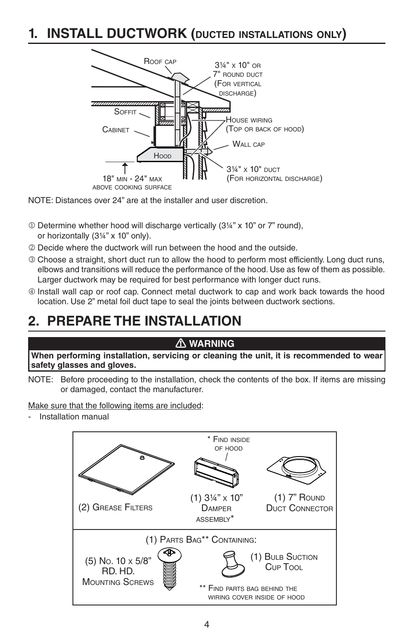## **1. INSTALL DUCTWORK (DUCTED INSTALLATIONS ONLY)**



NOTE: Distances over 24" are at the installer and user discretion.

- Determine whether hood will discharge vertically (3¼" x 10" or 7" round), or horizontally (3¼" x 10" only).
- Decide where the ductwork will run between the hood and the outside.
- Choose a straight, short duct run to allow the hood to perform most efficiently. Long duct runs, elbows and transitions will reduce the performance of the hood. Use as few of them as possible. Larger ductwork may be required for best performance with longer duct runs.
- Install wall cap or roof cap. Connect metal ductwork to cap and work back towards the hood location. Use 2" metal foil duct tape to seal the joints between ductwork sections.

## **2. PREPARE THE INSTALLATION**

#### **WARNING !**

**When performing installation, servicing or cleaning the unit, it is recommended to wear safety glasses and gloves.**

NOTE: Before proceeding to the installation, check the contents of the box. If items are missing or damaged, contact the manufacturer.

Make sure that the following items are included:

- Installation manual

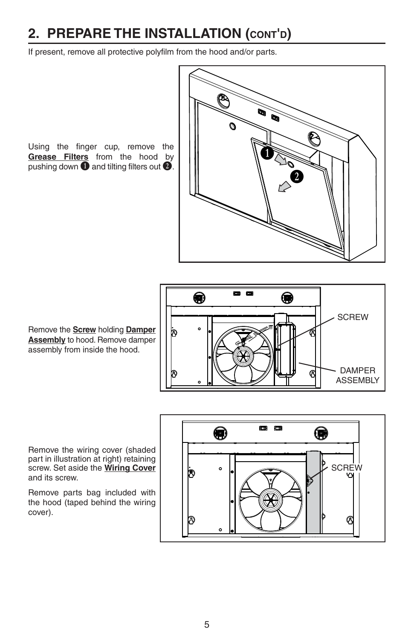# **2. PREPARE THE INSTALLATION (CONT'D)**

If present, remove all protective polyfilm from the hood and/or parts.

Using the finger cup, remove the **Grease Filters** from the hood by pushing down  $\overline{O}$  and tilting filters out  $\overline{O}$ .



Remove the **Screw** holding **Damper Assembly** to hood. Remove damper assembly from inside the hood.



Remove the wiring cover (shaded part in illustration at right) retaining screw. Set aside the **Wiring Cover**  and its screw.

Remove parts bag included with the hood (taped behind the wiring cover).

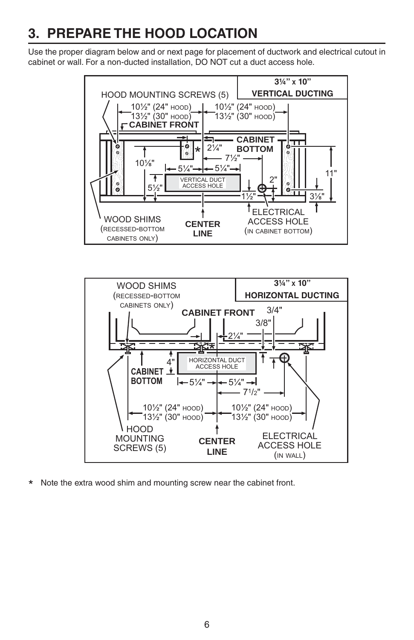# **3. PREPARE THE HOOD LOCATION**

Use the proper diagram below and or next page for placement of ductwork and electrical cutout in cabinet or wall. For a non-ducted installation, DO NOT cut a duct access hole.





\* Note the extra wood shim and mounting screw near the cabinet front.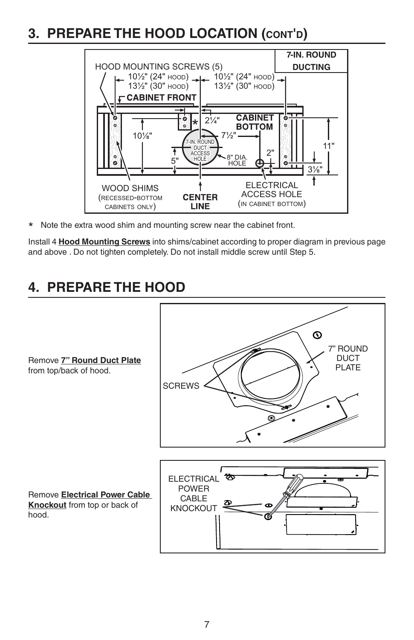## **3. PREPARE THE HOOD LOCATION (CONT'D)**



\* Note the extra wood shim and mounting screw near the cabinet front.

Install 4 **Hood Mounting Screws** into shims/cabinet according to proper diagram in previous page and above . Do not tighten completely. Do not install middle screw until Step 5.

## **4. PREPARE THE HOOD**

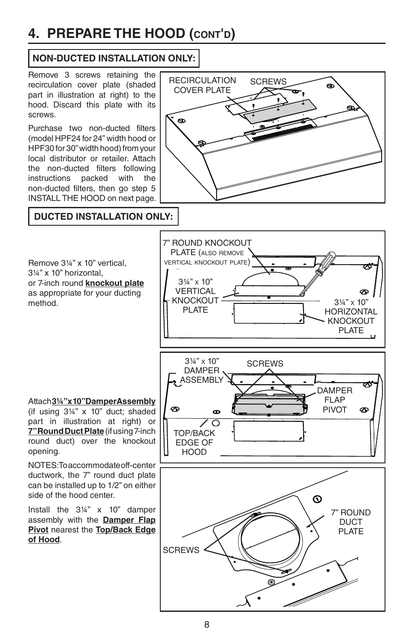# **4. PREPARE THE HOOD (CONT'D)**

## **NON-DUCTED INSTALLATION ONLY:**

recirculation cover plate (shaded part in illustration at right) to the hood. Discard this plate with its screws.

Purchase two non-ducted filters (model HPF24 for 24" width hood or HPF30 for 30" width hood) from your local distributor or retailer. Attach the non-ducted filters following instructions packed with the non-ducted filters, then go step 5 INSTALL THE HOOD on next page.



## **DUCTED INSTALLATION ONLY:**

Remove 3¼" x 10" vertical, 3¼" x 10" horizontal, or 7-inch round **knockout plate** as appropriate for your ducting method.

Attach **3¼" x 10" Damper Assembly** (if using 3¼" x 10" duct; shaded part in illustration at right) or **7" Round Duct Plate** (if using 7-inch round duct) over the knockout opening.

NOTES: To accommodate off-center ductwork, the 7" round duct plate can be installed up to 1/2" on either side of the hood center.

Install the 3¼" x 10" damper assembly with the **Damper Flap Pivot** nearest the **Top/Back Edge of Hood**.



7" ROUND DUCT PI ATF

**SCREWS** 

7" ROUND KNOCKOUT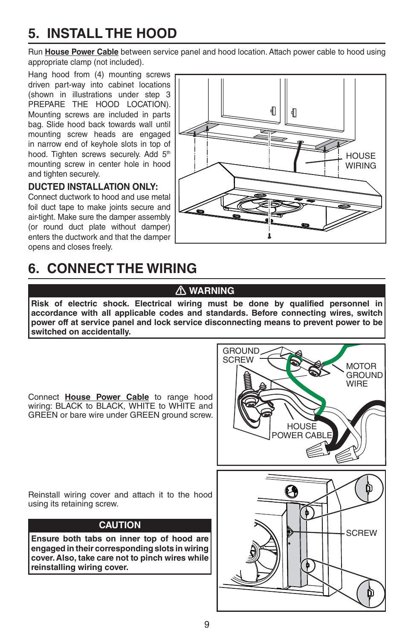# **5. INSTALL THE HOOD**

Run **House Power Cable** between service panel and hood location. Attach power cable to hood using appropriate clamp (not included).

Hang hood from (4) mounting screws driven part-way into cabinet locations (shown in illustrations under step 3 PREPARE THE HOOD LOCATION). Mounting screws are included in parts bag. Slide hood back towards wall until mounting screw heads are engaged in narrow end of keyhole slots in top of hood. Tighten screws securely. Add 5<sup>th</sup> mounting screw in center hole in hood and tighten securely.

## **DUCTED INSTALLATION ONLY:**

Connect ductwork to hood and use metal foil duct tape to make joints secure and air-tight. Make sure the damper assembly (or round duct plate without damper) enters the ductwork and that the damper opens and closes freely.



# **6. CONNECT THE WIRING**

## **WARNING !**

**Risk of electric shock. Electrical wiring must be done by qualified personnel in accordance with all applicable codes and standards. Before connecting wires, switch power off at service panel and lock service disconnecting means to prevent power to be switched on accidentally.**

Connect **House Power Cable** to range hood wiring: BLACK to BLACK, WHITE to WHITE and GREEN or bare wire under GREEN ground screw.



Reinstall wiring cover and attach it to the hood using its retaining screw.

## **CAUTION**

**Ensure both tabs on inner top of hood are engaged in their corresponding slots in wiring cover. Also, take care not to pinch wires while reinstalling wiring cover.**

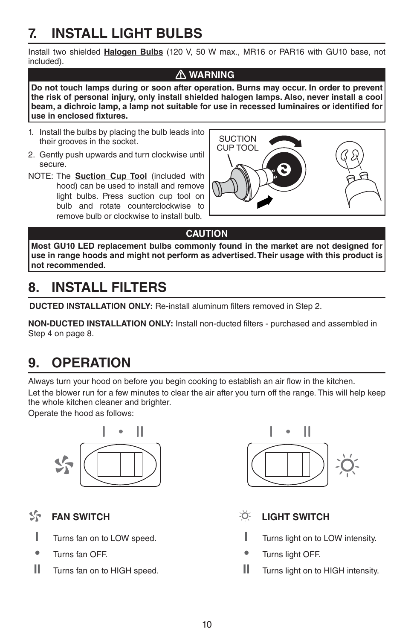# **7. INSTALL LIGHT BULBS**

Install two shielded **Halogen Bulbs** (120 V, 50 W max., MR16 or PAR16 with GU10 base, not included).

## **WARNING !**

**Do not touch lamps during or soon after operation. Burns may occur. In order to prevent the risk of personal injury, only install shielded halogen lamps. Also, never install a cool beam, a dichroic lamp, a lamp not suitable for use in recessed luminaires or identified for use in enclosed fixtures.**

- 1. Install the bulbs by placing the bulb leads into their grooves in the socket.
- 2. Gently push upwards and turn clockwise until secure.
- NOTE: The **Suction Cup Tool** (included with hood) can be used to install and remove light bulbs. Press suction cup tool on bulb and rotate counterclockwise to remove bulb or clockwise to install bulb.



## **CAUTION**

**Most GU10 LED replacement bulbs commonly found in the market are not designed for use in range hoods and might not perform as advertised. Their usage with this product is not recommended.**

# **8. INSTALL FILTERS**

**DUCTED INSTALLATION ONLY:** Re-install aluminum filters removed in Step 2.

**NON-DUCTED INSTALLATION ONLY:** Install non-ducted filters - purchased and assembled in Step 4 on page 8.

# **9. OPERATION**

Always turn your hood on before you begin cooking to establish an air flow in the kitchen. Let the blower run for a few minutes to clear the air after you turn off the range. This will help keep

the whole kitchen cleaner and brighter.

Operate the hood as follows:



#### $S_{\mathcal{T}}$ **FAN SWITCH**

- **I** Turns fan on to LOW speed.
- **•** Turns fan OFF.
- **II** Turns fan on to HIGH speed.



- -ö. **LIGHT SWITCH**
	- **I** Turns light on to LOW intensity.
	- **•** Turns light OFF.
- **II** Turns light on to HIGH intensity.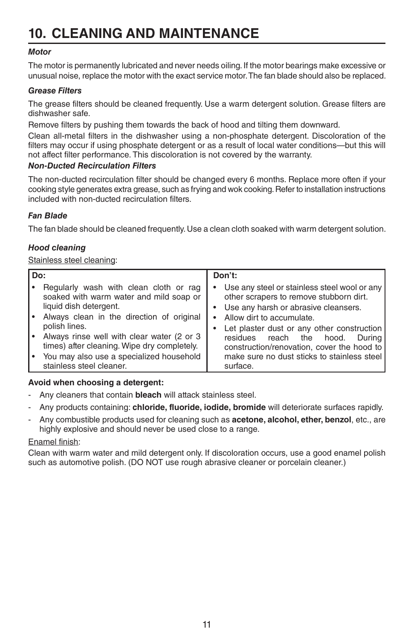# **10. CLEANING AND MAINTENANCE**

## *Motor*

The motor is permanently lubricated and never needs oiling. If the motor bearings make excessive or unusual noise, replace the motor with the exact service motor. The fan blade should also be replaced.

#### *Grease Filters*

The grease filters should be cleaned frequently. Use a warm detergent solution. Grease filters are dishwasher safe.

Remove filters by pushing them towards the back of hood and tilting them downward.

Clean all-metal filters in the dishwasher using a non-phosphate detergent. Discoloration of the filters may occur if using phosphate detergent or as a result of local water conditions—but this will not affect filter performance. This discoloration is not covered by the warranty.

#### *Non-Ducted Recirculation Filters*

The non-ducted recirculation filter should be changed every 6 months. Replace more often if your cooking style generates extra grease, such as frying and wok cooking. Refer to installation instructions included with non-ducted recirculation filters.

## *Fan Blade*

The fan blade should be cleaned frequently. Use a clean cloth soaked with warm detergent solution.

## *Hood cleaning*

#### Stainless steel cleaning:

| Do: |                                                                                                                                                                                                                         | Don't:    |                                                                                                                                                                                                                                                          |
|-----|-------------------------------------------------------------------------------------------------------------------------------------------------------------------------------------------------------------------------|-----------|----------------------------------------------------------------------------------------------------------------------------------------------------------------------------------------------------------------------------------------------------------|
|     | Regularly wash with clean cloth or rag<br>soaked with warm water and mild soap or<br>liquid dish detergent.<br>Always clean in the direction of original<br>polish lines.<br>Always rinse well with clear water (2 or 3 | $\bullet$ | Use any steel or stainless steel wool or any<br>other scrapers to remove stubborn dirt.<br>• Use any harsh or abrasive cleansers.<br>Allow dirt to accumulate.<br>Let plaster dust or any other construction<br>residues<br>reach the<br>hood.<br>Durina |
|     | times) after cleaning. Wipe dry completely.                                                                                                                                                                             |           | construction/renovation, cover the hood to                                                                                                                                                                                                               |
|     | You may also use a specialized household<br>stainless steel cleaner.                                                                                                                                                    |           | make sure no dust sticks to stainless steel<br>surface.                                                                                                                                                                                                  |

#### **Avoid when choosing a detergent:**

- Any cleaners that contain **bleach** will attack stainless steel.
- Any products containing: **chloride, fluoride, iodide, bromide** will deteriorate surfaces rapidly.
- Any combustible products used for cleaning such as **acetone, alcohol, ether, benzol**, etc., are highly explosive and should never be used close to a range.

#### Enamel finish:

Clean with warm water and mild detergent only. If discoloration occurs, use a good enamel polish such as automotive polish. (DO NOT use rough abrasive cleaner or porcelain cleaner.)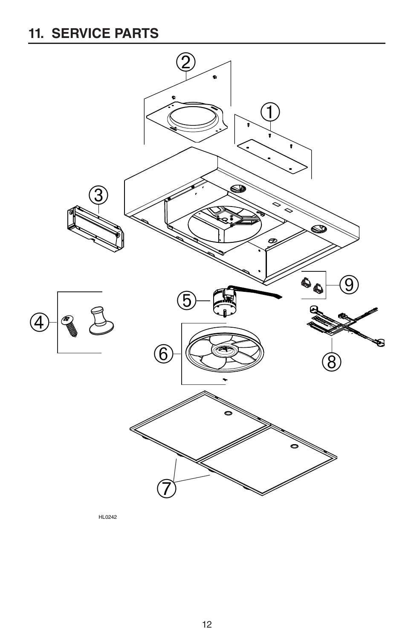# **11. SERVICE PARTS**



HL0242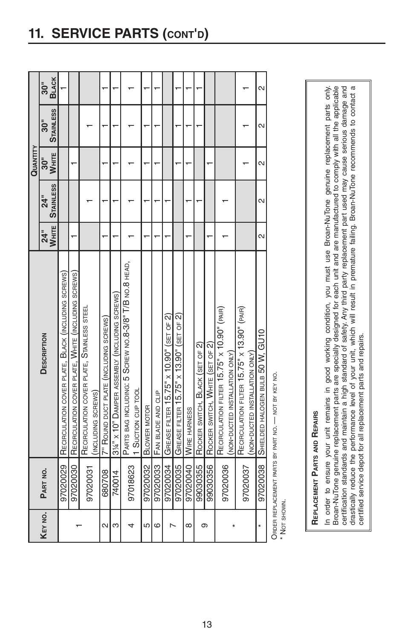|          |          |                                                             |                   |                   | QUANTITY          |                   |                         |
|----------|----------|-------------------------------------------------------------|-------------------|-------------------|-------------------|-------------------|-------------------------|
| KEY NO.  | PART NO. | <b>DESCRIPTION</b>                                          | $\overline{a}$    | $\overline{5}$    | ູລິ               | ູລິ               | $\overline{30}$         |
|          |          |                                                             | WHITE             | <b>STAINLESS</b>  | <b>WHITE</b>      | <b>STAINLESS</b>  | <b>BLACK</b>            |
|          | 97020029 | RECIRCULATION COVER PLATE, BLACK (INCLUDING SCREWS)         |                   |                   |                   |                   |                         |
|          | 97020030 | RECIRCULATION COVER PLATE, WHITE (INCLUDING SCREWS)         |                   |                   |                   |                   |                         |
|          | 97020031 | RECIRCULATION COVER PLATE, STAINLESS STEEL                  |                   |                   |                   |                   |                         |
|          |          | (INCLUDING SCREWS)                                          |                   |                   |                   |                   |                         |
| $\sim$   | 680708   | 7" ROUND DUCT PLATE (INCLUDING SCREWS)                      |                   |                   |                   |                   |                         |
| ო        | 740014   | 31/4" x 10" DAMPER ASSEMBLY (INCLUDING SCREWS)              |                   |                   |                   |                   |                         |
|          |          | PARTS BAG INCLUDING: 5 SCREW NO.8-3/8" T/B NO.8 HEAD,       |                   |                   |                   |                   |                         |
|          | 97018623 | 1 Sucrion CUP TOOL                                          |                   |                   |                   |                   |                         |
| 5        | 97020032 | BLOWER MOTOR                                                |                   |                   |                   |                   |                         |
| ဖ        | 97020033 | FAN BLADE AND CLIP                                          |                   |                   |                   |                   |                         |
|          | 97020034 | GREASE FILTER $15.75" \times 10.90"$ (set of 2)             |                   |                   |                   |                   |                         |
|          | 97020035 | GREASE FILTER 15.75" x 13.90" (SET OF 2)                    |                   |                   |                   |                   |                         |
| $\infty$ | 97020040 | WIRE HARNESS                                                |                   |                   |                   |                   |                         |
|          | 99030355 | ROCKER SWITCH, BLACK (SET OF 2)                             |                   |                   |                   |                   |                         |
| თ        | 99030356 | ROCKER SWITCH, WHITE (SET OF 2)                             |                   |                   |                   |                   |                         |
|          | 97020036 | RECIRCULATION FILTER 15.75" x 10.90" (PAIR)                 |                   |                   |                   |                   |                         |
|          |          | (NON-DUCTED INSTALLATION ONLY)                              |                   |                   |                   |                   |                         |
|          | 97020037 | RECIRCULATION FILTER 15.75" x 13.90" (PAIR)                 |                   |                   |                   |                   |                         |
|          |          | (NON-DUCTED INSTALLATION ONLY)                              |                   |                   |                   |                   |                         |
| ×        |          | 97020038 SHIELDED HALOGEN BULB 50 W, GU10                   | $\mathbf{\Omega}$ | $\mathbf{\Omega}$ | $\mathbf{\Omega}$ | $\mathbf{\Omega}$ | $\overline{\mathsf{c}}$ |
|          |          | Opper previous part parts by part $M_0$ and $M_0$ and $M_0$ |                   |                   |                   |                   |                         |

NOI BY KEY NO. ORDER REPLACEMENT PARTS BY PART NO. — NOT BY KEY NO. URDER REPLACEMENT PARTS BY PART NO.

\* Not shown. \* NOT SHOWN.

# REPLACEMENT PARTS AND REPAIRS **REPLACEMENT PARTS AND REPAIRS**

In order to ensure your unit remains in good working condition, you must use Broan-NuTone genuine replacement parts only. Broan-NuTone genuine replacement parts are specially designed for each unit and are manufactured to comply with all the applicable certification standards and maintain a high standard of safety. Any third party replacement part used may cause serious damage and drastically reduce the performance level of your unit, which will result in premature failing. Broan-NuTone recommends to contact a drastically reduce the performance level of your unit, which will result in premature failing. Broan-NuTone recommends to contact a In order to ensure your unit remains in good working condition, you must use Broan-NuTone genuine replacement parts only. Broan-NuTone genuine replacement parts are specially designed for each unit and are manufactured to comply with all the applicable certification standards and maintain a high standard of safety. Any third party replacement part used may cause serious damage and certified service depot for all replacement parts and repairs. certified service depot for all replacement parts and repairs.